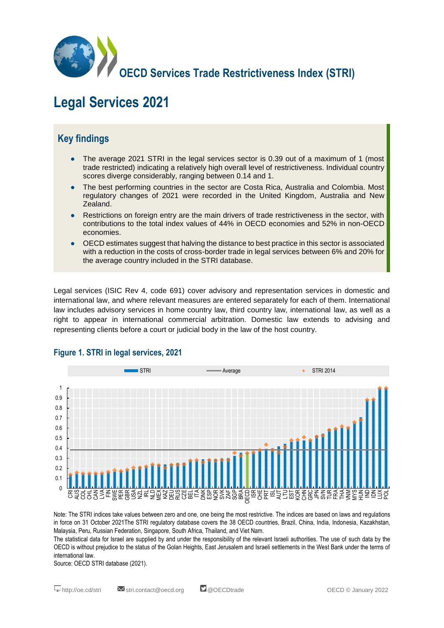

# **Legal Services 2021**

## **Key findings**

- The average 2021 STRI in the legal services sector is 0.39 out of a maximum of 1 (most trade restricted) indicating a relatively high overall level of restrictiveness. Individual country scores diverge considerably, ranging between 0.14 and 1.
- The best performing countries in the sector are Costa Rica, Australia and Colombia. Most regulatory changes of 2021 were recorded in the United Kingdom, Australia and New Zealand.
- Restrictions on foreign entry are the main drivers of trade restrictiveness in the sector, with contributions to the total index values of 44% in OECD economies and 52% in non-OECD economies.
- OECD estimates suggest that halving the distance to best practice in this sector is associated with a reduction in the costs of cross-border trade in legal services between 6% and 20% for the average country included in the STRI database.

Legal services (ISIC Rev 4, code 691) cover advisory and representation services in domestic and international law, and where relevant measures are entered separately for each of them. International law includes advisory services in home country law, third country law, international law, as well as a right to appear in international commercial arbitration. Domestic law extends to advising and representing clients before a court or judicial body in the law of the host country.



#### **Figure 1. STRI in legal services, 2021**

Note: The STRI indices take values between zero and one, one being the most restrictive. The indices are based on laws and regulations in force on 31 October 2021The STRI regulatory database covers the 38 OECD countries, Brazil, China, India, Indonesia, Kazakhstan, Malaysia, Peru, Russian Federation, Singapore, South Africa, Thailand, and Viet Nam.

The statistical data for Israel are supplied by and under the responsibility of the relevant Israeli authorities. The use of such data by the OECD is without prejudice to the status of the Golan Heights, East Jerusalem and Israeli settlements in the West Bank under the terms of international law.

Source: OECD STRI database (2021).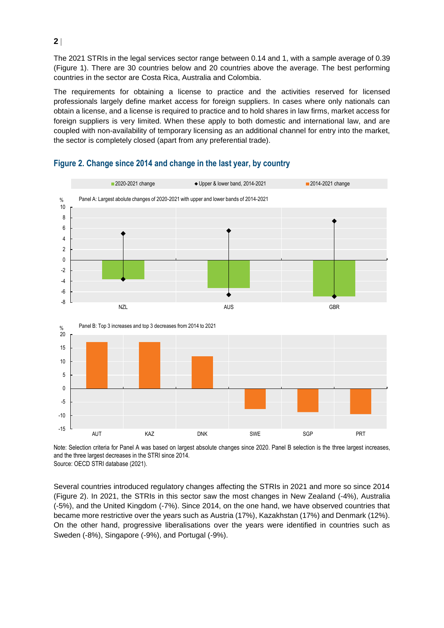The 2021 STRIs in the legal services sector range between 0.14 and 1, with a sample average of 0.39 (Figure 1). There are 30 countries below and 20 countries above the average. The best performing countries in the sector are Costa Rica, Australia and Colombia.

The requirements for obtaining a license to practice and the activities reserved for licensed professionals largely define market access for foreign suppliers. In cases where only nationals can obtain a license, and a license is required to practice and to hold shares in law firms, market access for foreign suppliers is very limited. When these apply to both domestic and international law, and are coupled with non-availability of temporary licensing as an additional channel for entry into the market, the sector is completely closed (apart from any preferential trade).



#### **Figure 2. Change since 2014 and change in the last year, by country**

Note: Selection criteria for Panel A was based on largest absolute changes since 2020. Panel B selection is the three largest increases, and the three largest decreases in the STRI since 2014. Source: OECD STRI database (2021).

Several countries introduced regulatory changes affecting the STRIs in 2021 and more so since 2014 (Figure 2). In 2021, the STRIs in this sector saw the most changes in New Zealand (-4%), Australia (-5%), and the United Kingdom (-7%). Since 2014, on the one hand, we have observed countries that became more restrictive over the years such as Austria (17%), Kazakhstan (17%) and Denmark (12%). On the other hand, progressive liberalisations over the years were identified in countries such as Sweden (-8%), Singapore (-9%), and Portugal (-9%).

**2**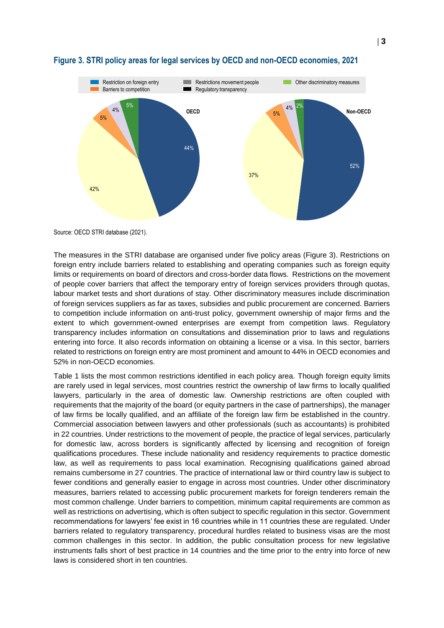

#### **Figure 3. STRI policy areas for legal services by OECD and non-OECD economies, 2021**

Source: OECD STRI database (2021).

The measures in the STRI database are organised under five policy areas (Figure 3). Restrictions on foreign entry include barriers related to establishing and operating companies such as foreign equity limits or requirements on board of directors and cross-border data flows. Restrictions on the movement of people cover barriers that affect the temporary entry of foreign services providers through quotas, labour market tests and short durations of stay. Other discriminatory measures include discrimination of foreign services suppliers as far as taxes, subsidies and public procurement are concerned. Barriers to competition include information on anti-trust policy, government ownership of major firms and the extent to which government-owned enterprises are exempt from competition laws. Regulatory transparency includes information on consultations and dissemination prior to laws and regulations entering into force. It also records information on obtaining a license or a visa. In this sector, barriers related to restrictions on foreign entry are most prominent and amount to 44% in OECD economies and 52% in non-OECD economies.

Table 1 lists the most common restrictions identified in each policy area. Though foreign equity limits are rarely used in legal services, most countries restrict the ownership of law firms to locally qualified lawyers, particularly in the area of domestic law. Ownership restrictions are often coupled with requirements that the majority of the board (or equity partners in the case of partnerships), the manager of law firms be locally qualified, and an affiliate of the foreign law firm be established in the country. Commercial association between lawyers and other professionals (such as accountants) is prohibited in 22 countries. Under restrictions to the movement of people, the practice of legal services, particularly for domestic law, across borders is significantly affected by licensing and recognition of foreign qualifications procedures. These include nationality and residency requirements to practice domestic law, as well as requirements to pass local examination. Recognising qualifications gained abroad remains cumbersome in 27 countries. The practice of international law or third country law is subject to fewer conditions and generally easier to engage in across most countries. Under other discriminatory measures, barriers related to accessing public procurement markets for foreign tenderers remain the most common challenge. Under barriers to competition, minimum capital requirements are common as well as restrictions on advertising, which is often subject to specific regulation in this sector. Government recommendations for lawyers' fee exist in 16 countries while in 11 countries these are regulated. Under barriers related to regulatory transparency, procedural hurdles related to business visas are the most common challenges in this sector. In addition, the public consultation process for new legislative instruments falls short of best practice in 14 countries and the time prior to the entry into force of new laws is considered short in ten countries.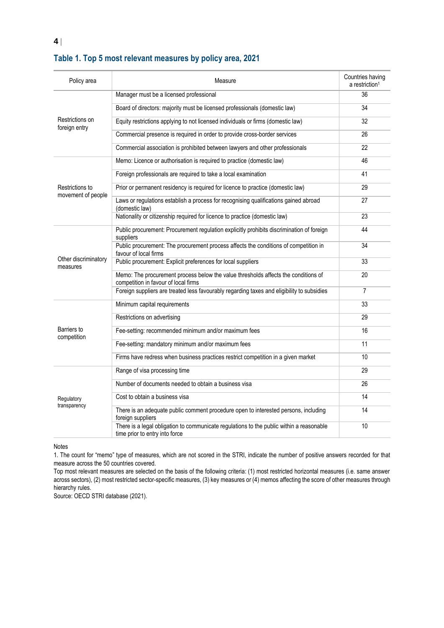| Policy area                           | Measure                                                                                                                    | Countries having<br>a restriction <sup>1</sup> |
|---------------------------------------|----------------------------------------------------------------------------------------------------------------------------|------------------------------------------------|
| Restrictions on<br>foreign entry      | Manager must be a licensed professional                                                                                    | 36                                             |
|                                       | Board of directors: majority must be licensed professionals (domestic law)                                                 | 34                                             |
|                                       | Equity restrictions applying to not licensed individuals or firms (domestic law)                                           | 32                                             |
|                                       | Commercial presence is required in order to provide cross-border services                                                  | 26                                             |
|                                       | Commercial association is prohibited between lawyers and other professionals                                               | 22                                             |
| Restrictions to<br>movement of people | Memo: Licence or authorisation is required to practice (domestic law)                                                      | 46                                             |
|                                       | Foreign professionals are required to take a local examination                                                             | 41                                             |
|                                       | Prior or permanent residency is required for licence to practice (domestic law)                                            | 29                                             |
|                                       | Laws or regulations establish a process for recognising qualifications gained abroad<br>(domestic law)                     | 27                                             |
|                                       | Nationality or citizenship required for licence to practice (domestic law)                                                 | 23                                             |
| Other discriminatory<br>measures      | Public procurement: Procurement regulation explicitly prohibits discrimination of foreign<br>suppliers                     | 44                                             |
|                                       | Public procurement: The procurement process affects the conditions of competition in<br>favour of local firms              | 34                                             |
|                                       | Public procurement: Explicit preferences for local suppliers                                                               | 33                                             |
|                                       | Memo: The procurement process below the value thresholds affects the conditions of<br>competition in favour of local firms | 20                                             |
|                                       | Foreign suppliers are treated less favourably regarding taxes and eligibility to subsidies                                 | $\overline{7}$                                 |
| Barriers to<br>competition            | Minimum capital requirements                                                                                               | 33                                             |
|                                       | Restrictions on advertising                                                                                                | 29                                             |
|                                       | Fee-setting: recommended minimum and/or maximum fees                                                                       | 16                                             |
|                                       | Fee-setting: mandatory minimum and/or maximum fees                                                                         | 11                                             |
|                                       | Firms have redress when business practices restrict competition in a given market                                          | 10                                             |
| Regulatory<br>transparency            | Range of visa processing time                                                                                              | 29                                             |
|                                       | Number of documents needed to obtain a business visa                                                                       | 26                                             |
|                                       | Cost to obtain a business visa                                                                                             | 14                                             |
|                                       | There is an adequate public comment procedure open to interested persons, including<br>foreign suppliers                   | 14                                             |
|                                       | There is a legal obligation to communicate regulations to the public within a reasonable<br>time prior to entry into force | 10                                             |

#### **Table 1. Top 5 most relevant measures by policy area, 2021**

Notes

**4**

1. The count for "memo" type of measures, which are not scored in the STRI, indicate the number of positive answers recorded for that measure across the 50 countries covered.

Top most relevant measures are selected on the basis of the following criteria: (1) most restricted horizontal measures (i.e. same answer across sectors), (2) most restricted sector-specific measures, (3) key measures or (4) memos affecting the score of other measures through hierarchy rules.

Source: OECD STRI database (2021).